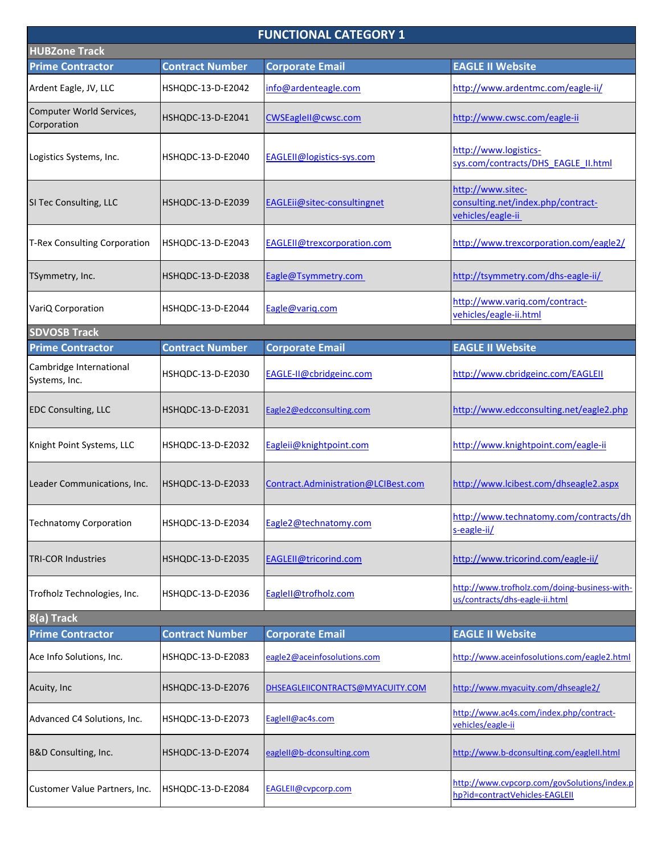| <b>FUNCTIONAL CATEGORY 1</b>             |                        |                                     |                                                                                |  |  |
|------------------------------------------|------------------------|-------------------------------------|--------------------------------------------------------------------------------|--|--|
| <b>HUBZone Track</b>                     |                        |                                     |                                                                                |  |  |
| <b>Prime Contractor</b>                  | <b>Contract Number</b> | <b>Corporate Email</b>              | <b>EAGLE II Website</b>                                                        |  |  |
| Ardent Eagle, JV, LLC                    | HSHQDC-13-D-E2042      | info@ardenteagle.com                | http://www.ardentmc.com/eagle-ii/                                              |  |  |
| Computer World Services,<br>Corporation  | HSHQDC-13-D-E2041      | CWSEaglell@cwsc.com                 | http://www.cwsc.com/eagle-ii                                                   |  |  |
| Logistics Systems, Inc.                  | HSHQDC-13-D-E2040      | EAGLEII@logistics-sys.com           | http://www.logistics-<br>sys.com/contracts/DHS EAGLE II.html                   |  |  |
| SI Tec Consulting, LLC                   | HSHQDC-13-D-E2039      | EAGLEii@sitec-consultingnet         | http://www.sitec-<br>consulting.net/index.php/contract-<br>vehicles/eagle-ii   |  |  |
| T-Rex Consulting Corporation             | HSHQDC-13-D-E2043      | EAGLEII@trexcorporation.com         | http://www.trexcorporation.com/eagle2/                                         |  |  |
| TSymmetry, Inc.                          | HSHQDC-13-D-E2038      | Eagle@Tsymmetry.com                 | http://tsymmetry.com/dhs-eagle-ii/                                             |  |  |
| VariQ Corporation                        | HSHQDC-13-D-E2044      | Eagle@varig.com                     | http://www.variq.com/contract-<br>vehicles/eagle-ii.html                       |  |  |
| <b>SDVOSB Track</b>                      |                        |                                     |                                                                                |  |  |
| <b>Prime Contractor</b>                  | <b>Contract Number</b> | <b>Corporate Email</b>              | <b>EAGLE II Website</b>                                                        |  |  |
| Cambridge International<br>Systems, Inc. | HSHQDC-13-D-E2030      | EAGLE-II@cbridgeinc.com             | http://www.cbridgeinc.com/EAGLEII                                              |  |  |
| <b>EDC Consulting, LLC</b>               | HSHQDC-13-D-E2031      | Eagle2@edcconsulting.com            | http://www.edcconsulting.net/eagle2.php                                        |  |  |
| Knight Point Systems, LLC                | HSHQDC-13-D-E2032      | Eagleij@knightpoint.com             | http://www.knightpoint.com/eagle-ii                                            |  |  |
| Leader Communications, Inc.              | HSHQDC-13-D-E2033      | Contract.Administration@LCIBest.com | http://www.lcibest.com/dhseagle2.aspx                                          |  |  |
| <b>Technatomy Corporation</b>            | HSHQDC-13-D-E2034      | Eagle2@technatomy.com               | http://www.technatomy.com/contracts/dh<br>s-eagle-ii/                          |  |  |
| <b>TRI-COR Industries</b>                | HSHQDC-13-D-E2035      | EAGLEII@tricorind.com               | http://www.tricorind.com/eagle-ii/                                             |  |  |
| Trofholz Technologies, Inc.              | HSHQDC-13-D-E2036      | Eaglell@trofholz.com                | http://www.trofholz.com/doing-business-with-<br>us/contracts/dhs-eagle-ii.html |  |  |
| 8(a) Track                               |                        |                                     |                                                                                |  |  |
| <b>Prime Contractor</b>                  | <b>Contract Number</b> | <b>Corporate Email</b>              | <b>EAGLE II Website</b>                                                        |  |  |
| Ace Info Solutions, Inc.                 | HSHQDC-13-D-E2083      | eagle2@aceinfosolutions.com         | http://www.aceinfosolutions.com/eagle2.html                                    |  |  |
| Acuity, Inc                              | HSHQDC-13-D-E2076      | DHSEAGLEIICONTRACTS@MYACUITY.COM    | http://www.myacuity.com/dhseagle2/                                             |  |  |
| Advanced C4 Solutions, Inc.              | HSHQDC-13-D-E2073      | EagleII@ac4s.com                    | http://www.ac4s.com/index.php/contract-<br>vehicles/eagle-ii                   |  |  |
| B&D Consulting, Inc.                     | HSHQDC-13-D-E2074      | eaglell@b-dconsulting.com           | http://www.b-dconsulting.com/eaglell.html                                      |  |  |
| Customer Value Partners, Inc.            | HSHQDC-13-D-E2084      | EAGLEII@cvpcorp.com                 | http://www.cvpcorp.com/govSolutions/index.p<br>hp?id=contractVehicles-EAGLEII  |  |  |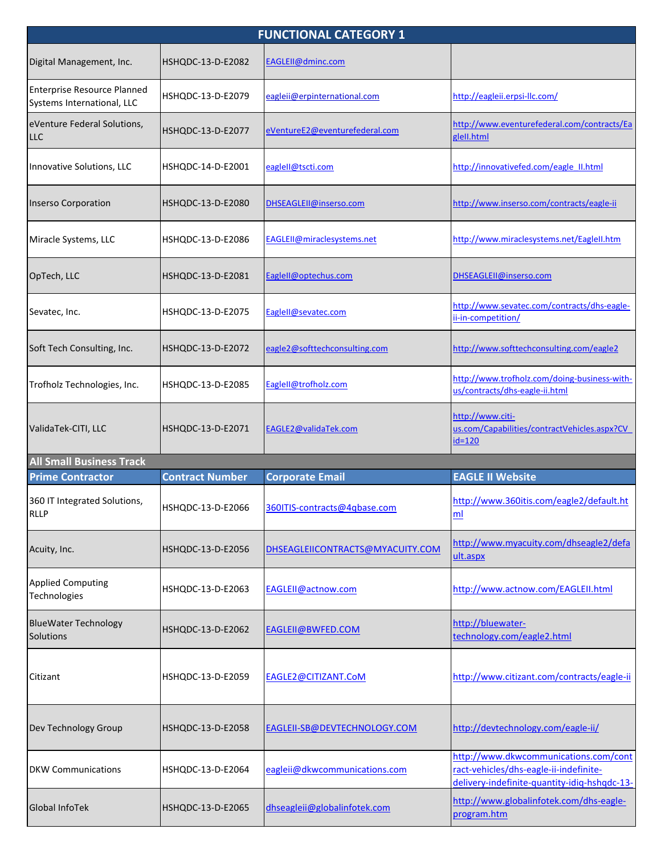| <b>FUNCTIONAL CATEGORY 1</b>                                     |                        |                                  |                                                                                                                                 |  |
|------------------------------------------------------------------|------------------------|----------------------------------|---------------------------------------------------------------------------------------------------------------------------------|--|
| Digital Management, Inc.                                         | HSHQDC-13-D-E2082      | EAGLEII@dminc.com                |                                                                                                                                 |  |
| <b>Enterprise Resource Planned</b><br>Systems International, LLC | HSHQDC-13-D-E2079      | eagleii@erpinternational.com     | http://eagleii.erpsi-llc.com/                                                                                                   |  |
| eVenture Federal Solutions,<br><b>LLC</b>                        | HSHQDC-13-D-E2077      | eVentureE2@eventurefederal.com   | http://www.eventurefederal.com/contracts/Ea<br>glell.html                                                                       |  |
| Innovative Solutions, LLC                                        | HSHQDC-14-D-E2001      | eagleII@tscti.com                | http://innovativefed.com/eagle_II.html                                                                                          |  |
| Inserso Corporation                                              | HSHQDC-13-D-E2080      | DHSEAGLEII@inserso.com           | http://www.inserso.com/contracts/eagle-ii                                                                                       |  |
| Miracle Systems, LLC                                             | HSHQDC-13-D-E2086      | EAGLEII@miraclesystems.net       | http://www.miraclesystems.net/Eaglell.htm                                                                                       |  |
| OpTech, LLC                                                      | HSHQDC-13-D-E2081      | EagleII@optechus.com             | DHSEAGLEII@inserso.com                                                                                                          |  |
| Sevatec, Inc.                                                    | HSHQDC-13-D-E2075      | EagleII@sevatec.com              | http://www.sevatec.com/contracts/dhs-eagle-<br>ii-in-competition/                                                               |  |
| Soft Tech Consulting, Inc.                                       | HSHQDC-13-D-E2072      | eagle2@softtechconsulting.com    | http://www.softtechconsulting.com/eagle2                                                                                        |  |
| Trofholz Technologies, Inc.                                      | HSHQDC-13-D-E2085      | EagleII@trofholz.com             | http://www.trofholz.com/doing-business-with-<br>us/contracts/dhs-eagle-ii.html                                                  |  |
| ValidaTek-CITI, LLC                                              | HSHQDC-13-D-E2071      | EAGLE2@validaTek.com             | http://www.citi-<br>us.com/Capabilities/contractVehicles.aspx?CV<br>$id=120$                                                    |  |
| <b>All Small Business Track</b>                                  |                        |                                  |                                                                                                                                 |  |
| <b>Prime Contractor</b>                                          | <b>Contract Number</b> | <b>Corporate Email</b>           | <b>EAGLE II Website</b>                                                                                                         |  |
| 360 IT Integrated Solutions,<br><b>RLLP</b>                      | HSHQDC-13-D-E2066      | 360ITIS-contracts@4qbase.com     | http://www.360itis.com/eagle2/default.ht<br>ml                                                                                  |  |
| Acuity, Inc.                                                     | HSHQDC-13-D-E2056      | DHSEAGLEIICONTRACTS@MYACUITY.COM | http://www.myacuity.com/dhseagle2/defa<br>ult.aspx                                                                              |  |
| <b>Applied Computing</b><br>Technologies                         | HSHQDC-13-D-E2063      | EAGLEII@actnow.com               | http://www.actnow.com/EAGLEII.html                                                                                              |  |
| <b>BlueWater Technology</b><br>Solutions                         | HSHQDC-13-D-E2062      | EAGLEII@BWFED.COM                | http://bluewater-<br>technology.com/eagle2.html                                                                                 |  |
| Citizant                                                         | HSHQDC-13-D-E2059      | EAGLE2@CITIZANT.CoM              | http://www.citizant.com/contracts/eagle-ii                                                                                      |  |
| Dev Technology Group                                             | HSHQDC-13-D-E2058      | EAGLEII-SB@DEVTECHNOLOGY.COM     | http://devtechnology.com/eagle-ii/                                                                                              |  |
| <b>DKW Communications</b>                                        | HSHQDC-13-D-E2064      | eagleii@dkwcommunications.com    | http://www.dkwcommunications.com/cont<br>ract-vehicles/dhs-eagle-ii-indefinite-<br>delivery-indefinite-quantity-idig-hshqdc-13- |  |
| Global InfoTek                                                   | HSHQDC-13-D-E2065      | dhseagleii@globalinfotek.com     | http://www.globalinfotek.com/dhs-eagle-<br>program.htm                                                                          |  |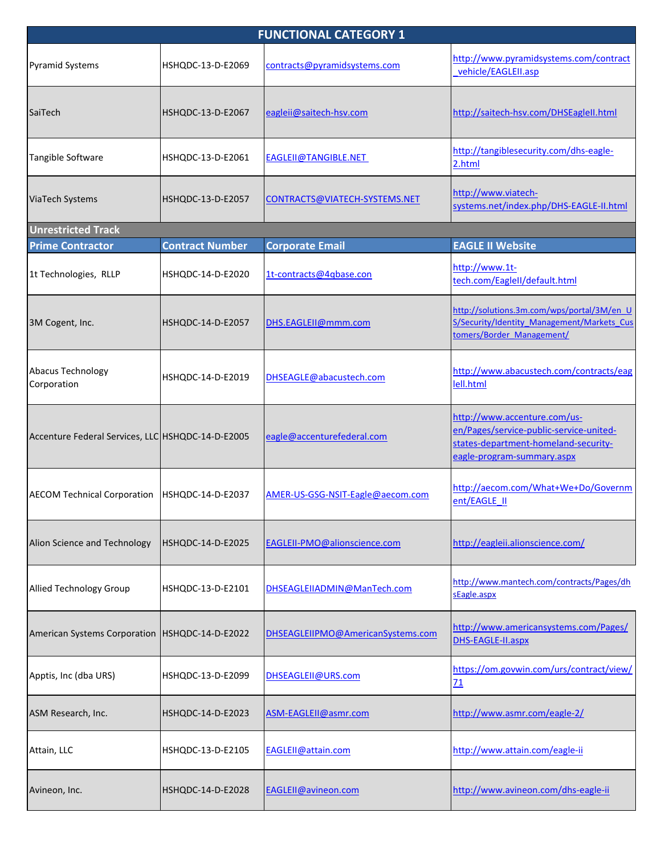| <b>FUNCTIONAL CATEGORY 1</b>                      |                        |                                   |                                                                                                                                               |  |
|---------------------------------------------------|------------------------|-----------------------------------|-----------------------------------------------------------------------------------------------------------------------------------------------|--|
| <b>Pyramid Systems</b>                            | HSHQDC-13-D-E2069      | contracts@pyramidsystems.com      | http://www.pyramidsystems.com/contract<br>vehicle/EAGLEII.asp                                                                                 |  |
| SaiTech                                           | HSHQDC-13-D-E2067      | eagleii@saitech-hsv.com           | http://saitech-hsv.com/DHSEagleII.html                                                                                                        |  |
| Tangible Software                                 | HSHQDC-13-D-E2061      | EAGLEII@TANGIBLE.NET              | http://tangiblesecurity.com/dhs-eagle-<br>2.html                                                                                              |  |
| ViaTech Systems                                   | HSHQDC-13-D-E2057      | CONTRACTS@VIATECH-SYSTEMS.NET     | http://www.viatech-<br>systems.net/index.php/DHS-EAGLE-II.html                                                                                |  |
| <b>Unrestricted Track</b>                         |                        |                                   |                                                                                                                                               |  |
| <b>Prime Contractor</b>                           | <b>Contract Number</b> | <b>Corporate Email</b>            | <b>EAGLE II Website</b>                                                                                                                       |  |
| 1t Technologies, RLLP                             | HSHQDC-14-D-E2020      | 1t-contracts@4qbase.con           | http://www.1t-<br>tech.com/EagleII/default.html                                                                                               |  |
| 3M Cogent, Inc.                                   | HSHQDC-14-D-E2057      | DHS.EAGLEII@mmm.com               | http://solutions.3m.com/wps/portal/3M/en U<br>S/Security/Identity Management/Markets Cus<br>tomers/Border Management/                         |  |
| Abacus Technology<br>Corporation                  | HSHQDC-14-D-E2019      | DHSEAGLE@abacustech.com           | http://www.abacustech.com/contracts/eag<br>lell.html                                                                                          |  |
| Accenture Federal Services, LLC HSHQDC-14-D-E2005 |                        | eagle@accenturefederal.com        | http://www.accenture.com/us-<br>en/Pages/service-public-service-united-<br>states-department-homeland-security-<br>eagle-program-summary.aspx |  |
| <b>AECOM Technical Corporation</b>                | HSHQDC-14-D-E2037      | AMER-US-GSG-NSIT-Eagle@aecom.com  | http://aecom.com/What+We+Do/Governm<br>ent/EAGLE II                                                                                           |  |
| Alion Science and Technology                      | HSHQDC-14-D-E2025      | EAGLEII-PMO@alionscience.com      | http://eagleii.alionscience.com/                                                                                                              |  |
| Allied Technology Group                           | HSHQDC-13-D-E2101      | DHSEAGLEIIADMIN@ManTech.com       | http://www.mantech.com/contracts/Pages/dh<br>sEagle.aspx                                                                                      |  |
| American Systems Corporation   HSHQDC-14-D-E2022  |                        | DHSEAGLEIIPMO@AmericanSystems.com | http://www.americansystems.com/Pages/<br>DHS-EAGLE-II.aspx                                                                                    |  |
| Apptis, Inc (dba URS)                             | HSHQDC-13-D-E2099      | DHSEAGLEII@URS.com                | https://om.govwin.com/urs/contract/view/<br>71                                                                                                |  |
| ASM Research, Inc.                                | HSHQDC-14-D-E2023      | ASM-EAGLEII@asmr.com              | http://www.asmr.com/eagle-2/                                                                                                                  |  |
| Attain, LLC                                       | HSHQDC-13-D-E2105      | EAGLEII@attain.com                | http://www.attain.com/eagle-ii                                                                                                                |  |
| Avineon, Inc.                                     | HSHQDC-14-D-E2028      | <b>EAGLEII@avineon.com</b>        | http://www.avineon.com/dhs-eagle-ii                                                                                                           |  |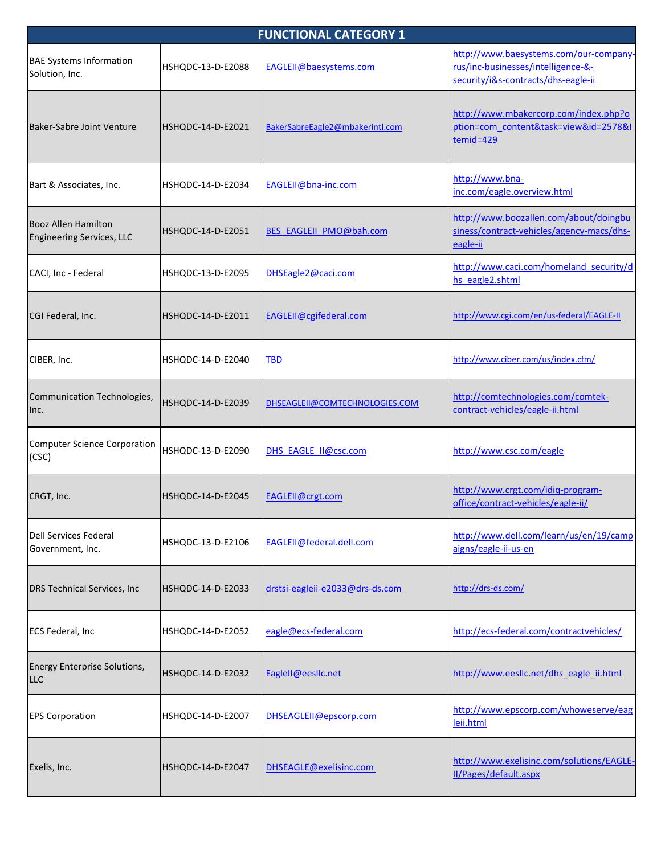| <b>FUNCTIONAL CATEGORY 1</b>                            |                   |                                 |                                                                                                                     |  |
|---------------------------------------------------------|-------------------|---------------------------------|---------------------------------------------------------------------------------------------------------------------|--|
| <b>BAE Systems Information</b><br>Solution, Inc.        | HSHQDC-13-D-E2088 | EAGLEII@baesystems.com          | http://www.baesystems.com/our-company-<br>rus/inc-businesses/intelligence-&-<br>security/i&s-contracts/dhs-eagle-ii |  |
| Baker-Sabre Joint Venture                               | HSHQDC-14-D-E2021 | BakerSabreEagle2@mbakerintl.com | http://www.mbakercorp.com/index.php?o<br>ption=com content&task=view&id=2578&I<br>temid=429                         |  |
| Bart & Associates, Inc.                                 | HSHQDC-14-D-E2034 | EAGLEII@bna-inc.com             | http://www.bna-<br>inc.com/eagle.overview.html                                                                      |  |
| Booz Allen Hamilton<br><b>Engineering Services, LLC</b> | HSHQDC-14-D-E2051 | <b>BES EAGLEII PMO@bah.com</b>  | http://www.boozallen.com/about/doingbu<br>siness/contract-vehicles/agency-macs/dhs-<br>eagle-ii                     |  |
| CACI, Inc - Federal                                     | HSHQDC-13-D-E2095 | DHSEagle2@caci.com              | http://www.caci.com/homeland security/d<br>hs eagle2.shtml                                                          |  |
| CGI Federal, Inc.                                       | HSHQDC-14-D-E2011 | EAGLEII@cgifederal.com          | http://www.cgi.com/en/us-federal/EAGLE-II                                                                           |  |
| CIBER, Inc.                                             | HSHQDC-14-D-E2040 | TBD                             | http://www.ciber.com/us/index.cfm/                                                                                  |  |
| Communication Technologies,<br>Inc.                     | HSHQDC-14-D-E2039 | DHSEAGLEII@COMTECHNOLOGIES.COM  | http://comtechnologies.com/comtek-<br>contract-vehicles/eagle-ii.html                                               |  |
| <b>Computer Science Corporation</b><br>(CSC)            | HSHQDC-13-D-E2090 | DHS EAGLE II@csc.com            | http://www.csc.com/eagle                                                                                            |  |
| CRGT, Inc.                                              | HSHQDC-14-D-E2045 | EAGLEII@crgt.com                | http://www.crgt.com/idiq-program-<br>office/contract-vehicles/eagle-ii/                                             |  |
| <b>Dell Services Federal</b><br>Government, Inc.        | HSHQDC-13-D-E2106 | EAGLEII@federal.dell.com        | http://www.dell.com/learn/us/en/19/camp<br>aigns/eagle-ii-us-en                                                     |  |
| <b>DRS Technical Services, Inc</b>                      | HSHQDC-14-D-E2033 | drstsi-eagleii-e2033@drs-ds.com | http://drs-ds.com/                                                                                                  |  |
| ECS Federal, Inc                                        | HSHQDC-14-D-E2052 | eagle@ecs-federal.com           | http://ecs-federal.com/contractvehicles/                                                                            |  |
| <b>Energy Enterprise Solutions,</b><br><b>LLC</b>       | HSHQDC-14-D-E2032 | EagleII@eesllc.net              | http://www.eesllc.net/dhs_eagle_ii.html                                                                             |  |
| <b>EPS Corporation</b>                                  | HSHQDC-14-D-E2007 | DHSEAGLEII@epscorp.com          | http://www.epscorp.com/whoweserve/eag<br>leii.html                                                                  |  |
| Exelis, Inc.                                            | HSHQDC-14-D-E2047 | DHSEAGLE@exelisinc.com          | http://www.exelisinc.com/solutions/EAGLE-<br>II/Pages/default.aspx                                                  |  |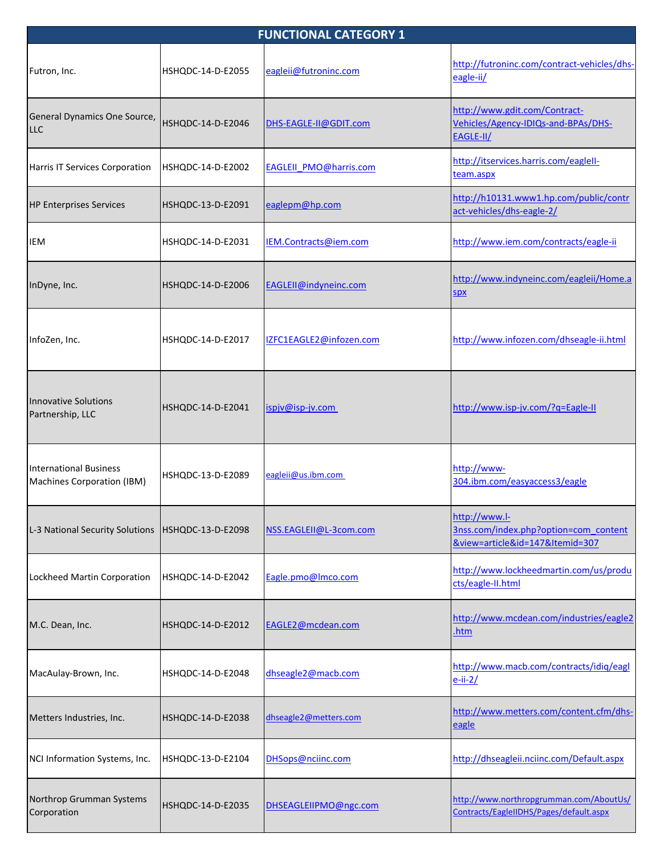| <b>FUNCTIONAL CATEGORY 1</b>                         |                   |                               |                                                                                           |  |
|------------------------------------------------------|-------------------|-------------------------------|-------------------------------------------------------------------------------------------|--|
| Futron, Inc.                                         | HSHQDC-14-D-E2055 | eagleii@futroninc.com         | http://futroninc.com/contract-vehicles/dhs-<br>eagle-ii/                                  |  |
| General Dynamics One Source,<br><b>LLC</b>           | HSHQDC-14-D-E2046 | DHS-EAGLE-II@GDIT.com         | http://www.gdit.com/Contract-<br>Vehicles/Agency-IDIQs-and-BPAs/DHS-<br>EAGLE-II/         |  |
| Harris IT Services Corporation                       | HSHQDC-14-D-E2002 | <b>EAGLEII PMO@harris.com</b> | http://itservices.harris.com/eaglell-<br>team.aspx                                        |  |
| <b>HP Enterprises Services</b>                       | HSHQDC-13-D-E2091 | eaglepm@hp.com                | http://h10131.www1.hp.com/public/contr<br>act-vehicles/dhs-eagle-2/                       |  |
| IEM                                                  | HSHQDC-14-D-E2031 | IEM.Contracts@iem.com         | http://www.iem.com/contracts/eagle-ii                                                     |  |
| InDyne, Inc.                                         | HSHQDC-14-D-E2006 | EAGLEII@indyneinc.com         | http://www.indyneinc.com/eagleii/Home.a<br><b>SDX</b>                                     |  |
| InfoZen, Inc.                                        | HSHQDC-14-D-E2017 | IZFC1EAGLE2@infozen.com       | http://www.infozen.com/dhseagle-ii.html                                                   |  |
| <b>Innovative Solutions</b><br>Partnership, LLC      | HSHQDC-14-D-E2041 | ispjv@isp-jv.com              | http://www.isp-jv.com/?q=Eagle-II                                                         |  |
| International Business<br>Machines Corporation (IBM) | HSHQDC-13-D-E2089 | eagleii@us.ibm.com            | http://www-<br>304.ibm.com/easyaccess3/eagle                                              |  |
| L-3 National Security Solutions                      | HSHQDC-13-D-E2098 | NSS.EAGLEII@L-3com.com        | http://www.l-<br>3nss.com/index.php?option=com_content<br>&view=article&id=147&Itemid=307 |  |
| Lockheed Martin Corporation                          | HSHQDC-14-D-E2042 | Eagle.pmo@lmco.com            | http://www.lockheedmartin.com/us/produ<br>cts/eagle-II.html                               |  |
| M.C. Dean, Inc.                                      | HSHQDC-14-D-E2012 | EAGLE2@mcdean.com             | http://www.mcdean.com/industries/eagle2<br><u>.htm</u>                                    |  |
| MacAulay-Brown, Inc.                                 | HSHQDC-14-D-E2048 | dhseagle2@macb.com            | http://www.macb.com/contracts/idiq/eagl<br>$e$ -ii-2/                                     |  |
| Metters Industries, Inc.                             | HSHQDC-14-D-E2038 | dhseagle2@metters.com         | http://www.metters.com/content.cfm/dhs-<br>eagle                                          |  |
| NCI Information Systems, Inc.                        | HSHQDC-13-D-E2104 | DHSops@nciinc.com             | http://dhseagleii.nciinc.com/Default.aspx                                                 |  |
| Northrop Grumman Systems<br>Corporation              | HSHQDC-14-D-E2035 | DHSEAGLEIIPMO@ngc.com         | http://www.northropgrumman.com/AboutUs/<br>Contracts/EagleIIDHS/Pages/default.aspx        |  |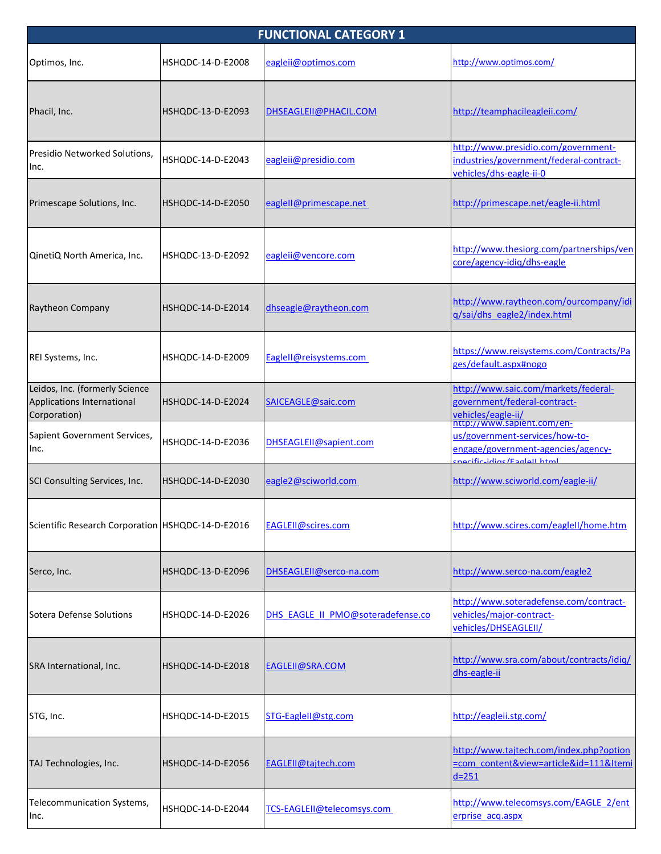| <b>FUNCTIONAL CATEGORY 1</b>                                                 |                   |                                   |                                                                                                                          |  |
|------------------------------------------------------------------------------|-------------------|-----------------------------------|--------------------------------------------------------------------------------------------------------------------------|--|
| Optimos, Inc.                                                                | HSHQDC-14-D-E2008 | eagleii@optimos.com               | http://www.optimos.com/                                                                                                  |  |
| Phacil, Inc.                                                                 | HSHQDC-13-D-E2093 | DHSEAGLEII@PHACIL.COM             | http://teamphacileagleii.com/                                                                                            |  |
| Presidio Networked Solutions,<br>Inc.                                        | HSHQDC-14-D-E2043 | eagleii@presidio.com              | http://www.presidio.com/government-<br>industries/government/federal-contract-<br>vehicles/dhs-eagle-ii-0                |  |
| Primescape Solutions, Inc.                                                   | HSHQDC-14-D-E2050 | eaglell@primescape.net            | http://primescape.net/eagle-ii.html                                                                                      |  |
| QinetiQ North America, Inc.                                                  | HSHQDC-13-D-E2092 | eagleii@vencore.com               | http://www.thesiorg.com/partnerships/ven<br>core/agency-idig/dhs-eagle                                                   |  |
| Raytheon Company                                                             | HSHQDC-14-D-E2014 | dhseagle@raytheon.com             | http://www.raytheon.com/ourcompany/idi<br>q/sai/dhs eagle2/index.html                                                    |  |
| REI Systems, Inc.                                                            | HSHQDC-14-D-E2009 | EagleII@reisystems.com            | https://www.reisystems.com/Contracts/Pa<br>ges/default.aspx#nogo                                                         |  |
| Leidos, Inc. (formerly Science<br>Applications International<br>Corporation) | HSHQDC-14-D-E2024 | SAICEAGLE@saic.com                | http://www.saic.com/markets/federal-<br>government/federal-contract-<br>vehicles/eagle-ii/<br>http://www.sapient.com/en- |  |
| Sapient Government Services,<br>Inc.                                         | HSHQDC-14-D-E2036 | DHSEAGLEII@sapient.com            | us/government-services/how-to-<br>engage/government-agencies/agency-<br>cnecific idias / Eagle Uhtml                     |  |
| SCI Consulting Services, Inc.                                                | HSHQDC-14-D-E2030 | eagle2@sciworld.com               | http://www.sciworld.com/eagle-ii/                                                                                        |  |
| Scientific Research Corporation   HSHQDC-14-D-E2016                          |                   | <b>EAGLEII@scires.com</b>         | http://www.scires.com/eaglell/home.htm                                                                                   |  |
| Serco, Inc.                                                                  | HSHQDC-13-D-E2096 | DHSEAGLEII@serco-na.com           | http://www.serco-na.com/eagle2                                                                                           |  |
| <b>Sotera Defense Solutions</b>                                              | HSHQDC-14-D-E2026 | DHS EAGLE II PMO@soteradefense.co | http://www.soteradefense.com/contract-<br>vehicles/major-contract-<br>vehicles/DHSEAGLEII/                               |  |
| SRA International, Inc.                                                      | HSHQDC-14-D-E2018 | EAGLEII@SRA.COM                   | http://www.sra.com/about/contracts/idiq/<br>dhs-eagle-ii                                                                 |  |
| STG, Inc.                                                                    | HSHQDC-14-D-E2015 | STG-EagleII@stg.com               | http://eagleii.stg.com/                                                                                                  |  |
| TAJ Technologies, Inc.                                                       | HSHQDC-14-D-E2056 | EAGLEII@tajtech.com               | http://www.tajtech.com/index.php?option<br>=com_content&view=article&id=111&Itemi<br>$d=251$                             |  |
| Telecommunication Systems,<br>Inc.                                           | HSHQDC-14-D-E2044 | TCS-EAGLEII@telecomsys.com        | http://www.telecomsys.com/EAGLE 2/ent<br>erprise acq.aspx                                                                |  |